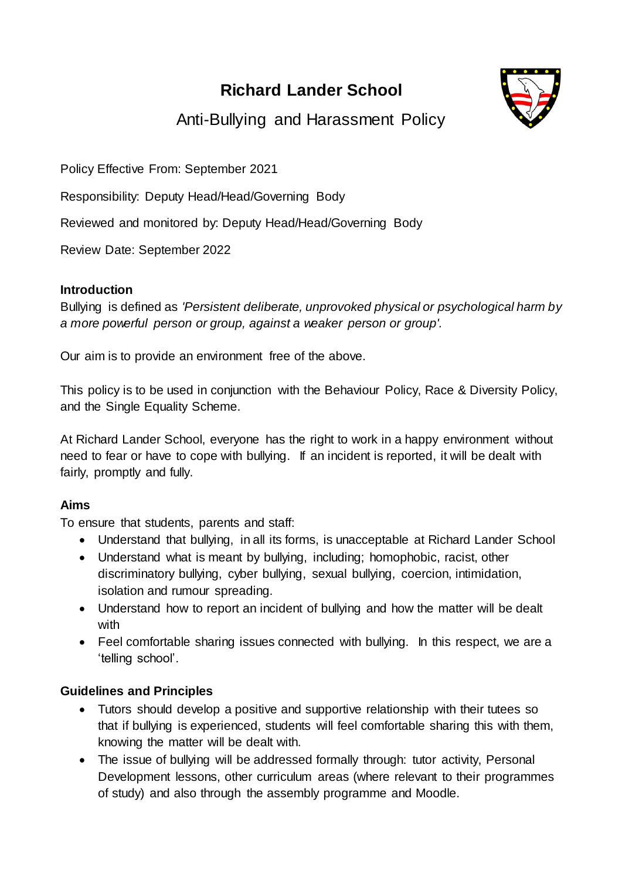# **Richard Lander School**



Anti-Bullying and Harassment Policy

Policy Effective From: September 2021

Responsibility: Deputy Head/Head/Governing Body

Reviewed and monitored by: Deputy Head/Head/Governing Body

Review Date: September 2022

### **Introduction**

Bullying is defined as *'Persistent deliberate, unprovoked physical or psychological harm by a more powerful person or group, against a weaker person or group'.*

Our aim is to provide an environment free of the above.

This policy is to be used in conjunction with the Behaviour Policy, Race & Diversity Policy, and the Single Equality Scheme.

At Richard Lander School, everyone has the right to work in a happy environment without need to fear or have to cope with bullying. If an incident is reported, it will be dealt with fairly, promptly and fully.

### **Aims**

To ensure that students, parents and staff:

- Understand that bullying, in all its forms, is unacceptable at Richard Lander School
- Understand what is meant by bullying, including; homophobic, racist, other discriminatory bullying, cyber bullying, sexual bullying, coercion, intimidation, isolation and rumour spreading.
- Understand how to report an incident of bullying and how the matter will be dealt with
- Feel comfortable sharing issues connected with bullying. In this respect, we are a 'telling school'.

### **Guidelines and Principles**

- Tutors should develop a positive and supportive relationship with their tutees so that if bullying is experienced, students will feel comfortable sharing this with them, knowing the matter will be dealt with.
- The issue of bullying will be addressed formally through: tutor activity, Personal Development lessons, other curriculum areas (where relevant to their programmes of study) and also through the assembly programme and Moodle.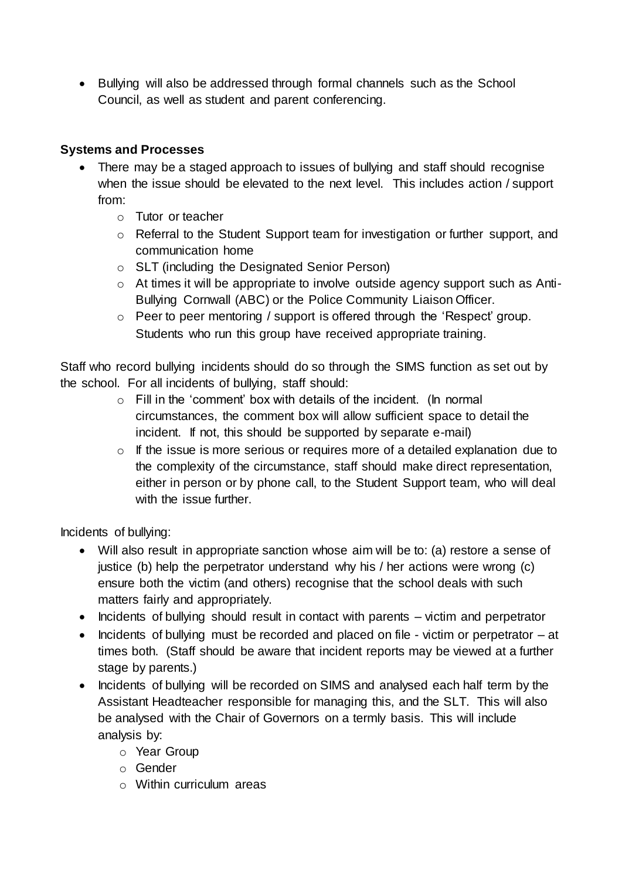• Bullying will also be addressed through formal channels such as the School Council, as well as student and parent conferencing.

## **Systems and Processes**

- There may be a staged approach to issues of bullying and staff should recognise when the issue should be elevated to the next level. This includes action / support from:
	- o Tutor or teacher
	- o Referral to the Student Support team for investigation or further support, and communication home
	- o SLT (including the Designated Senior Person)
	- o At times it will be appropriate to involve outside agency support such as Anti-Bullying Cornwall (ABC) or the Police Community Liaison Officer.
	- $\circ$  Peer to peer mentoring / support is offered through the 'Respect' group. Students who run this group have received appropriate training.

Staff who record bullying incidents should do so through the SIMS function as set out by the school. For all incidents of bullying, staff should:

- $\circ$  Fill in the 'comment' box with details of the incident. (In normal circumstances, the comment box will allow sufficient space to detail the incident. If not, this should be supported by separate e-mail)
- o If the issue is more serious or requires more of a detailed explanation due to the complexity of the circumstance, staff should make direct representation, either in person or by phone call, to the Student Support team, who will deal with the issue further.

Incidents of bullying:

- Will also result in appropriate sanction whose aim will be to: (a) restore a sense of justice (b) help the perpetrator understand why his / her actions were wrong (c) ensure both the victim (and others) recognise that the school deals with such matters fairly and appropriately.
- Incidents of bullying should result in contact with parents victim and perpetrator
- Incidents of bullying must be recorded and placed on file victim or perpetrator  $-$  at times both. (Staff should be aware that incident reports may be viewed at a further stage by parents.)
- Incidents of bullying will be recorded on SIMS and analysed each half term by the Assistant Headteacher responsible for managing this, and the SLT. This will also be analysed with the Chair of Governors on a termly basis. This will include analysis by:
	- o Year Group
	- o Gender
	- o Within curriculum areas